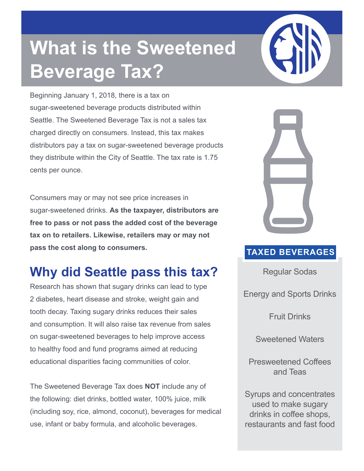## **What is the Sweetened Beverage Tax?**

Beginning January 1, 2018, there is a tax on sugar-sweetened beverage products distributed within Seattle. The Sweetened Beverage Tax is not a sales tax charged directly on consumers. Instead, this tax makes distributors pay a tax on sugar-sweetened beverage products they distribute within the City of Seattle. The tax rate is 1.75 cents per ounce.

Consumers may or may not see price increases in sugar-sweetened drinks. **As the taxpayer, distributors are free to pass or not pass the added cost of the beverage tax on to retailers. Likewise, retailers may or may not pass the cost along to consumers.** TAXED BEVERAGES

## **Why did Seattle pass this tax?**

Research has shown that sugary drinks can lead to type 2 diabetes, heart disease and stroke, weight gain and tooth decay. Taxing sugary drinks reduces their sales and consumption. It will also raise tax revenue from sales on sugar-sweetened beverages to help improve access to healthy food and fund programs aimed at reducing educational disparities facing communities of color.

The Sweetened Beverage Tax does **NOT** include any of the following: diet drinks, bottled water, 100% juice, milk (including soy, rice, almond, coconut), beverages for medical use, infant or baby formula, and alcoholic beverages.



Regular Sodas

Energy and Sports Drinks

Fruit Drinks

Sweetened Waters

Presweetened Coffees and Teas

Syrups and concentrates used to make sugary drinks in coffee shops, restaurants and fast food